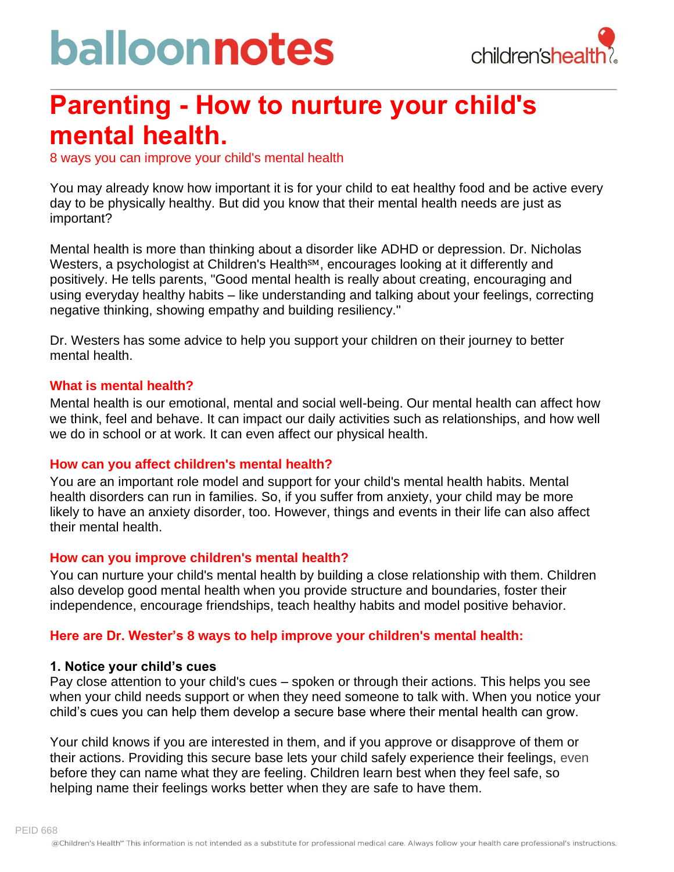# balloonnotes



### **Parenting - How to nurture your child's mental health.**

8 ways you can improve your child's mental health

You may already know how important it is for your child to eat healthy food and be active every day to be physically healthy. But did you know that their mental health needs are just as important?

Mental health is more than thinking about a disorder like ADHD or depression. Dr. Nicholas Westers, a psychologist at Children's Health<sup>SM</sup>, encourages looking at it differently and positively. He tells parents, "Good mental health is really about creating, encouraging and using everyday healthy habits – like understanding and talking about your feelings, correcting negative thinking, showing empathy and building resiliency."

Dr. Westers has some advice to help you support your children on their journey to better mental health.

#### **What is mental health?**

Mental health is our emotional, mental and social well-being. Our mental health can affect how we think, feel and behave. It can impact our daily activities such as relationships, and how well we do in school or at work. It can even affect our physical health.

#### **How can you affect children's mental health?**

You are an important role model and support for your child's mental health habits. Mental health disorders can run in families. So, if you suffer from anxiety, your child may be more likely to have an anxiety disorder, too. However, things and events in their life can also affect their mental health.

#### **How can you improve children's mental health?**

You can nurture your child's mental health by building a close relationship with them. Children also develop good mental health when you provide structure and boundaries, foster their independence, encourage friendships, teach healthy habits and model positive behavior.

#### **Here are Dr. Wester's 8 ways to help improve your children's mental health:**

#### **1. Notice your child's cues**

Pay close attention to your child's cues – spoken or through their actions. This helps you see when your child needs support or when they need someone to talk with. When you notice your child's cues you can help them develop a secure base where their mental health can grow.

Your child knows if you are interested in them, and if you approve or disapprove of them or their actions. Providing this secure base lets your child safely experience their feelings, even before they can name what they are feeling. Children learn best when they feel safe, so helping name their feelings works better when they are safe to have them.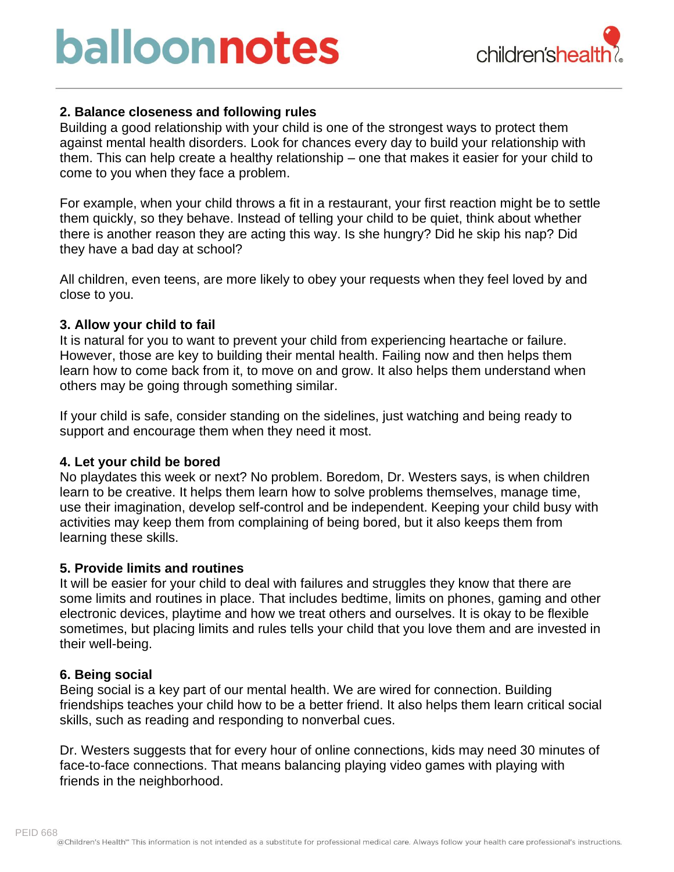## balloonnotes



#### **2. Balance closeness and following rules**

Building a good relationship with your child is one of the strongest ways to protect them against mental health disorders. Look for chances every day to build your relationship with them. This can help create a healthy relationship – one that makes it easier for your child to come to you when they face a problem.

For example, when your child throws a fit in a restaurant, your first reaction might be to settle them quickly, so they behave. Instead of telling your child to be quiet, think about whether there is another reason they are acting this way. Is she hungry? Did he skip his nap? Did they have a bad day at school?

All children, even teens, are more likely to obey your requests when they feel loved by and close to you.

#### **3. Allow your child to fail**

It is natural for you to want to prevent your child from experiencing heartache or failure. However, those are key to building their mental health. Failing now and then helps them learn how to come back from it, to move on and grow. It also helps them understand when others may be going through something similar.

If your child is safe, consider standing on the sidelines, just watching and being ready to support and encourage them when they need it most.

#### **4. Let your child be bored**

No playdates this week or next? No problem. Boredom, Dr. Westers says, is when children learn to be creative. It helps them learn how to solve problems themselves, manage time, use their imagination, develop self-control and be independent. Keeping your child busy with activities may keep them from complaining of being bored, but it also keeps them from learning these skills.

#### **5. Provide limits and routines**

It will be easier for your child to deal with failures and struggles they know that there are some limits and routines in place. That includes bedtime, limits on phones, gaming and other electronic devices, playtime and how we treat others and ourselves. It is okay to be flexible sometimes, but placing limits and rules tells your child that you love them and are invested in their well-being.

#### **6. Being social**

Being social is a key part of our mental health. We are wired for connection. Building friendships teaches your child how to be a better friend. It also helps them learn critical social skills, such as reading and responding to nonverbal cues.

Dr. Westers suggests that for every hour of online connections, kids may need 30 minutes of face-to-face connections. That means balancing playing video games with playing with friends in the neighborhood.